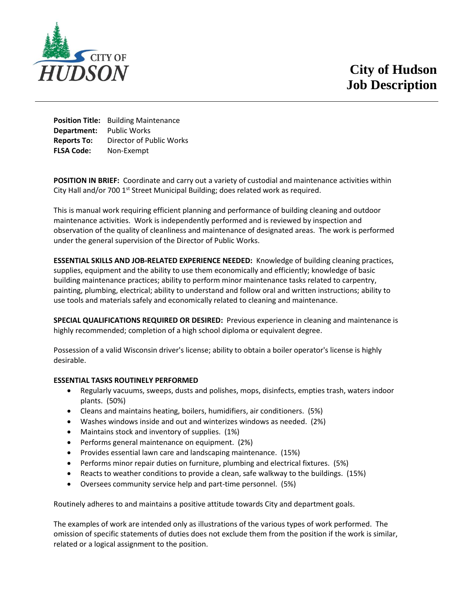

**Position Title:** Building Maintenance **Department:** Public Works **Reports To:** Director of Public Works **FLSA Code:** Non-Exempt

**POSITION IN BRIEF:** Coordinate and carry out a variety of custodial and maintenance activities within City Hall and/or 700  $1<sup>st</sup>$  Street Municipal Building; does related work as required.

This is manual work requiring efficient planning and performance of building cleaning and outdoor maintenance activities. Work is independently performed and is reviewed by inspection and observation of the quality of cleanliness and maintenance of designated areas. The work is performed under the general supervision of the Director of Public Works.

**ESSENTIAL SKILLS AND JOB-RELATED EXPERIENCE NEEDED:** Knowledge of building cleaning practices, supplies, equipment and the ability to use them economically and efficiently; knowledge of basic building maintenance practices; ability to perform minor maintenance tasks related to carpentry, painting, plumbing, electrical; ability to understand and follow oral and written instructions; ability to use tools and materials safely and economically related to cleaning and maintenance.

**SPECIAL QUALIFICATIONS REQUIRED OR DESIRED:** Previous experience in cleaning and maintenance is highly recommended; completion of a high school diploma or equivalent degree.

Possession of a valid Wisconsin driver's license; ability to obtain a boiler operator's license is highly desirable.

## **ESSENTIAL TASKS ROUTINELY PERFORMED**

- Regularly vacuums, sweeps, dusts and polishes, mops, disinfects, empties trash, waters indoor plants. (50%)
- Cleans and maintains heating, boilers, humidifiers, air conditioners. (5%)
- Washes windows inside and out and winterizes windows as needed. (2%)
- Maintains stock and inventory of supplies. (1%)
- Performs general maintenance on equipment. (2%)
- Provides essential lawn care and landscaping maintenance. (15%)
- Performs minor repair duties on furniture, plumbing and electrical fixtures. (5%)
- Reacts to weather conditions to provide a clean, safe walkway to the buildings. (15%)
- Oversees community service help and part-time personnel. (5%)

Routinely adheres to and maintains a positive attitude towards City and department goals.

The examples of work are intended only as illustrations of the various types of work performed. The omission of specific statements of duties does not exclude them from the position if the work is similar, related or a logical assignment to the position.